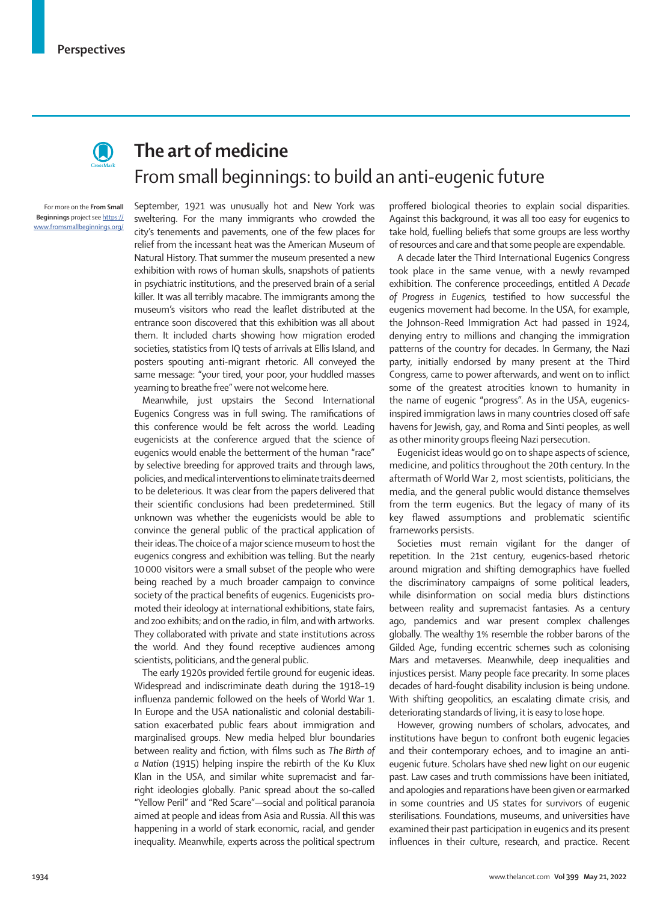

## **The art of medicine** From small beginnings: to build an anti-eugenic future

For more on the **From Small Beginnings** project see [https://](https://www.fromsmallbeginnings.org/  ) [www.fromsmallbeginnings.org/](https://www.fromsmallbeginnings.org/  ) 

September, 1921 was unusually hot and New York was sweltering. For the many immigrants who crowded the city's tenements and pavements, one of the few places for relief from the incessant heat was the American Museum of Natural History. That summer the museum presented a new exhibition with rows of human skulls, snapshots of patients in psychiatric institutions, and the preserved brain of a serial killer. It was all terribly macabre. The immigrants among the museum's visitors who read the leaflet distributed at the entrance soon discovered that this exhibition was all about them. It included charts showing how migration eroded societies, statistics from IQ tests of arrivals at Ellis Island, and posters spouting anti-migrant rhetoric. All conveyed the same message: "your tired, your poor, your huddled masses yearning to breathe free" were not welcome here.

Meanwhile, just upstairs the Second International Eugenics Congress was in full swing. The ramifications of this conference would be felt across the world. Leading eugenicists at the conference argued that the science of eugenics would enable the betterment of the human "race" by selective breeding for approved traits and through laws, policies, and medical interventions to eliminate traits deemed to be deleterious. It was clear from the papers delivered that their scientific conclusions had been predetermined. Still unknown was whether the eugenicists would be able to convince the general public of the practical application of their ideas. The choice of a major science museum to host the eugenics congress and exhibition was telling. But the nearly 10000 visitors were a small subset of the people who were being reached by a much broader campaign to convince society of the practical benefits of eugenics. Eugenicists promoted their ideology at international exhibitions, state fairs, and zoo exhibits; and on the radio, in film, and with artworks. They collaborated with private and state institutions across the world. And they found receptive audiences among scientists, politicians, and the general public.

The early 1920s provided fertile ground for eugenic ideas. Widespread and indiscriminate death during the 1918–19 influenza pandemic followed on the heels of World War 1. In Europe and the USA nationalistic and colonial destabilisation exacerbated public fears about immigration and marginalised groups. New media helped blur boundaries between reality and fiction, with films such as *The Birth of a Nation* (1915) helping inspire the rebirth of the Ku Klux Klan in the USA, and similar white supremacist and farright ideologies globally. Panic spread about the so-called "Yellow Peril" and "Red Scare"—social and political paranoia aimed at people and ideas from Asia and Russia. All this was happening in a world of stark economic, racial, and gender inequality. Meanwhile, experts across the political spectrum

proffered biological theories to explain social disparities. Against this background, it was all too easy for eugenics to take hold, fuelling beliefs that some groups are less worthy of resources and care and that some people are expendable.

A decade later the Third International Eugenics Congress took place in the same venue, with a newly revamped exhibition. The conference proceedings, entitled *A Decade of Progress in Eugenics,* testified to how successful the eugenics movement had become. In the USA, for example, the Johnson-Reed Immigration Act had passed in 1924, denying entry to millions and changing the immigration patterns of the country for decades. In Germany, the Nazi party, initially endorsed by many present at the Third Congress, came to power afterwards, and went on to inflict some of the greatest atrocities known to humanity in the name of eugenic "progress". As in the USA, eugenicsinspired immigration laws in many countries closed off safe havens for Jewish, gay, and Roma and Sinti peoples, as well as other minority groups fleeing Nazi persecution.

Eugenicist ideas would go on to shape aspects of science, medicine, and politics throughout the 20th century. In the aftermath of World War 2, most scientists, politicians, the media, and the general public would distance themselves from the term eugenics. But the legacy of many of its key flawed assumptions and problematic scientific frameworks persists.

Societies must remain vigilant for the danger of repetition. In the 21st century, eugenics-based rhetoric around migration and shifting demographics have fuelled the discriminatory campaigns of some political leaders, while disinformation on social media blurs distinctions between reality and supremacist fantasies. As a century ago, pandemics and war present complex challenges globally. The wealthy 1% resemble the robber barons of the Gilded Age, funding eccentric schemes such as colonising Mars and metaverses. Meanwhile, deep inequalities and injustices persist. Many people face precarity. In some places decades of hard-fought disability inclusion is being undone. With shifting geopolitics, an escalating climate crisis, and deteriorating standards of living, it is easy to lose hope.

However, growing numbers of scholars, advocates, and institutions have begun to confront both eugenic legacies and their contemporary echoes, and to imagine an antieugenic future. Scholars have shed new light on our eugenic past. Law cases and truth commissions have been initiated, and apologies and reparations have been given or earmarked in some countries and US states for survivors of eugenic sterilisations. Foundations, museums, and universities have examined their past participation in eugenics and its present influences in their culture, research, and practice. Recent